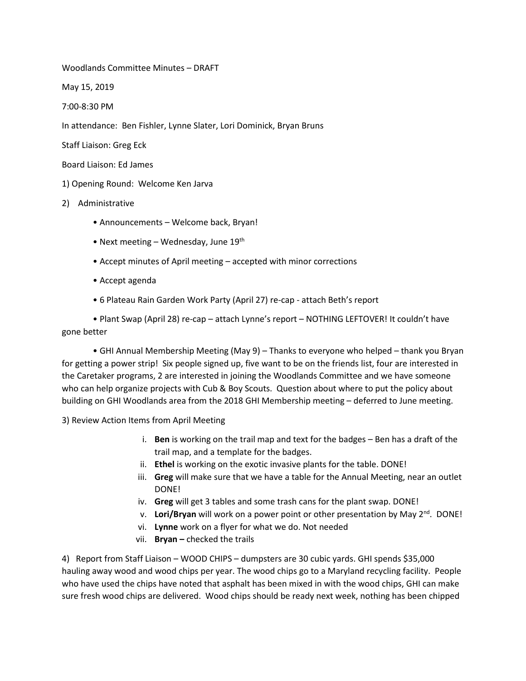Woodlands Committee Minutes – DRAFT

May 15, 2019

7:00‐8:30 PM

In attendance: Ben Fishler, Lynne Slater, Lori Dominick, Bryan Bruns

Staff Liaison: Greg Eck

Board Liaison: Ed James

1) Opening Round: Welcome Ken Jarva

- 2) Administrative
	- Announcements Welcome back, Bryan!
	- Next meeting Wednesday, June  $19^{th}$
	- Accept minutes of April meeting accepted with minor corrections
	- Accept agenda
	- 6 Plateau Rain Garden Work Party (April 27) re‐cap attach Beth's report

• Plant Swap (April 28) re‐cap – attach Lynne's report – NOTHING LEFTOVER! It couldn't have gone better

• GHI Annual Membership Meeting (May 9) – Thanks to everyone who helped – thank you Bryan for getting a power strip! Six people signed up, five want to be on the friends list, four are interested in the Caretaker programs, 2 are interested in joining the Woodlands Committee and we have someone who can help organize projects with Cub & Boy Scouts. Question about where to put the policy about building on GHI Woodlands area from the 2018 GHI Membership meeting – deferred to June meeting.

3) Review Action Items from April Meeting

- i. **Ben** is working on the trail map and text for the badges Ben has a draft of the trail map, and a template for the badges.
- ii. **Ethel** is working on the exotic invasive plants for the table. DONE!
- iii. **Greg** will make sure that we have a table for the Annual Meeting, near an outlet DONE!
- iv. **Greg** will get 3 tables and some trash cans for the plant swap. DONE!
- v. **Lori/Bryan** will work on a power point or other presentation by May 2<sup>nd</sup>. DONE!
- vi. **Lynne** work on a flyer for what we do. Not needed
- vii. **Bryan –** checked the trails

4) Report from Staff Liaison – WOOD CHIPS – dumpsters are 30 cubic yards. GHI spends \$35,000 hauling away wood and wood chips per year. The wood chips go to a Maryland recycling facility. People who have used the chips have noted that asphalt has been mixed in with the wood chips, GHI can make sure fresh wood chips are delivered. Wood chips should be ready next week, nothing has been chipped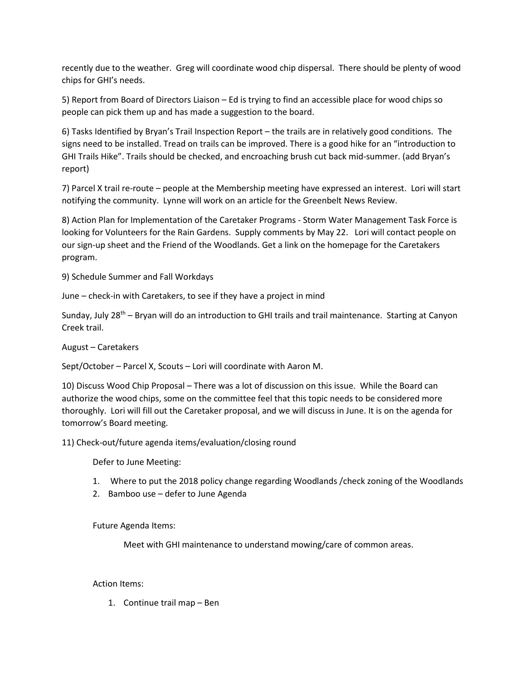recently due to the weather. Greg will coordinate wood chip dispersal. There should be plenty of wood chips for GHI's needs.

5) Report from Board of Directors Liaison – Ed is trying to find an accessible place for wood chips so people can pick them up and has made a suggestion to the board.

6) Tasks Identified by Bryan's Trail Inspection Report – the trails are in relatively good conditions. The signs need to be installed. Tread on trails can be improved. There is a good hike for an "introduction to GHI Trails Hike". Trails should be checked, and encroaching brush cut back mid-summer. (add Bryan's report)

7) Parcel X trail re‐route – people at the Membership meeting have expressed an interest. Lori will start notifying the community. Lynne will work on an article for the Greenbelt News Review.

8) Action Plan for Implementation of the Caretaker Programs - Storm Water Management Task Force is looking for Volunteers for the Rain Gardens. Supply comments by May 22. Lori will contact people on our sign-up sheet and the Friend of the Woodlands. Get a link on the homepage for the Caretakers program.

9) Schedule Summer and Fall Workdays

June – check-in with Caretakers, to see if they have a project in mind

Sunday, July 28<sup>th</sup> – Bryan will do an introduction to GHI trails and trail maintenance. Starting at Canyon Creek trail.

August – Caretakers

Sept/October – Parcel X, Scouts – Lori will coordinate with Aaron M.

10) Discuss Wood Chip Proposal – There was a lot of discussion on this issue. While the Board can authorize the wood chips, some on the committee feel that this topic needs to be considered more thoroughly. Lori will fill out the Caretaker proposal, and we will discuss in June. It is on the agenda for tomorrow's Board meeting.

11) Check‐out/future agenda items/evaluation/closing round

Defer to June Meeting:

- 1. Where to put the 2018 policy change regarding Woodlands /check zoning of the Woodlands
- 2. Bamboo use defer to June Agenda

Future Agenda Items:

Meet with GHI maintenance to understand mowing/care of common areas.

## Action Items:

1. Continue trail map – Ben